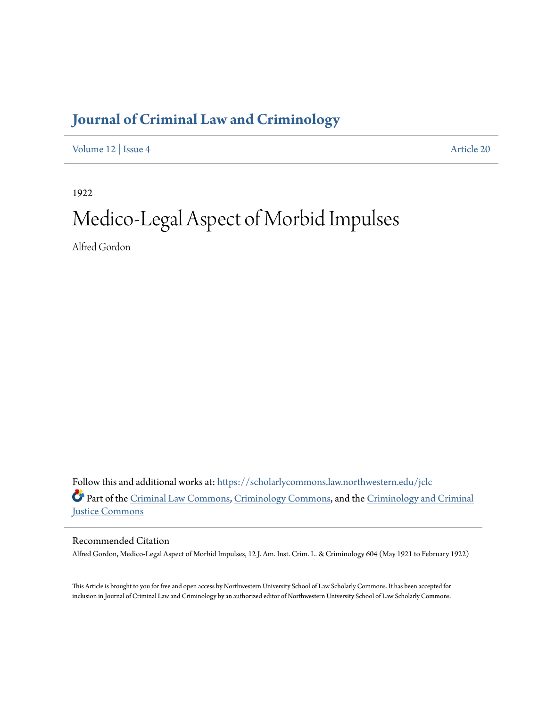## **[Journal of Criminal Law and Criminology](https://scholarlycommons.law.northwestern.edu/jclc?utm_source=scholarlycommons.law.northwestern.edu%2Fjclc%2Fvol12%2Fiss4%2F20&utm_medium=PDF&utm_campaign=PDFCoverPages)**

[Volume 12](https://scholarlycommons.law.northwestern.edu/jclc/vol12?utm_source=scholarlycommons.law.northwestern.edu%2Fjclc%2Fvol12%2Fiss4%2F20&utm_medium=PDF&utm_campaign=PDFCoverPages) | [Issue 4](https://scholarlycommons.law.northwestern.edu/jclc/vol12/iss4?utm_source=scholarlycommons.law.northwestern.edu%2Fjclc%2Fvol12%2Fiss4%2F20&utm_medium=PDF&utm_campaign=PDFCoverPages) [Article 20](https://scholarlycommons.law.northwestern.edu/jclc/vol12/iss4/20?utm_source=scholarlycommons.law.northwestern.edu%2Fjclc%2Fvol12%2Fiss4%2F20&utm_medium=PDF&utm_campaign=PDFCoverPages)

1922

# Medico-Legal Aspect of Morbid Impulses

Alfred Gordon

Follow this and additional works at: [https://scholarlycommons.law.northwestern.edu/jclc](https://scholarlycommons.law.northwestern.edu/jclc?utm_source=scholarlycommons.law.northwestern.edu%2Fjclc%2Fvol12%2Fiss4%2F20&utm_medium=PDF&utm_campaign=PDFCoverPages) Part of the [Criminal Law Commons](http://network.bepress.com/hgg/discipline/912?utm_source=scholarlycommons.law.northwestern.edu%2Fjclc%2Fvol12%2Fiss4%2F20&utm_medium=PDF&utm_campaign=PDFCoverPages), [Criminology Commons](http://network.bepress.com/hgg/discipline/417?utm_source=scholarlycommons.law.northwestern.edu%2Fjclc%2Fvol12%2Fiss4%2F20&utm_medium=PDF&utm_campaign=PDFCoverPages), and the [Criminology and Criminal](http://network.bepress.com/hgg/discipline/367?utm_source=scholarlycommons.law.northwestern.edu%2Fjclc%2Fvol12%2Fiss4%2F20&utm_medium=PDF&utm_campaign=PDFCoverPages) [Justice Commons](http://network.bepress.com/hgg/discipline/367?utm_source=scholarlycommons.law.northwestern.edu%2Fjclc%2Fvol12%2Fiss4%2F20&utm_medium=PDF&utm_campaign=PDFCoverPages)

Recommended Citation

Alfred Gordon, Medico-Legal Aspect of Morbid Impulses, 12 J. Am. Inst. Crim. L. & Criminology 604 (May 1921 to February 1922)

This Article is brought to you for free and open access by Northwestern University School of Law Scholarly Commons. It has been accepted for inclusion in Journal of Criminal Law and Criminology by an authorized editor of Northwestern University School of Law Scholarly Commons.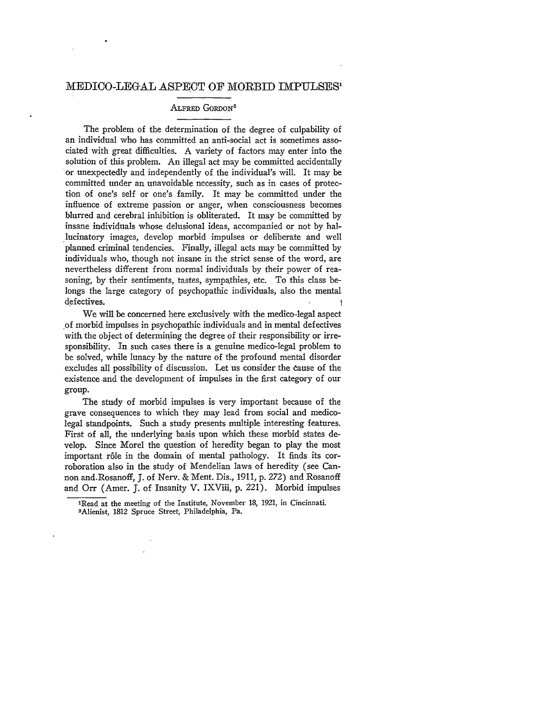### MEDICO-LEGAL ASPECT OF MORBID IMPULSES'

#### **ALFRED GORDON<sup>2</sup>**

The problem of the determination of the degree of culpability of an individual who has committed an anti-social act is sometimes associated with great difficulties. A variety of factors may enter into the solution of this problem. An illegal act may be committed accidentally or unexpectedly and independently of the individual's will. It may be committed under an unavoidable necessity, such as in cases of protection of one's self or one's family. It may be committed under the influence of extreme passion or anger, when consciousness becomes blurred and cerebral inhibition is obliterated. It may be committed by insane individuals whose delusional ideas, accompanied or not by hallucinatory images, develop morbid impulses or deliberate and well planned criminal tendencies. Finally, illegal acts may be committed by individuals who, though not insane in the strict sense of the word, are nevertheless different from normal individuals by their power of reasoning, by their sentiments, tastes, sympathies, etc. To this class belongs the large category of psychopathic individuals, also the mental defectives.

We will be concerned here exclusively with the medico-legal aspect of morbid impulses in psychopathic individuals and in mental defectives with the object of determining the degree of their responsibility or irresponsibility. In such cases there is a genuine medico-legal problem to be solved, while lunacy by the nature of the profound mental disorder excludes all possibility of discussion. Let us consider the dause of the existence .and the development of impulses in the first category of our group.

The study of morbid impulses is very important because of the grave consequences to which they may lead from social and medicolegal standpoints. Such a study presents multiple interesting features. First of all, the underlying basis upon which these morbid states develop. Since Morel the question of heredity began to play the most important r6le in the domain of mental pathology. It finds its corroboration also in the study of Mendelian laws of heredity (see Cannon and.Rosanoff, **J.** of Nerv. & Ment. Dis., 1911, p. 272) and Rosanoff and Orr (Amer. J. of Insanity V. IXViii, p. 221). Morbid impulses

<sup>&#</sup>x27;Read at the meeting of the Institute, November 18, 1921, in Cincinnati. 2Alienist, 1812 Spruce Street, Philadelphia, Pa.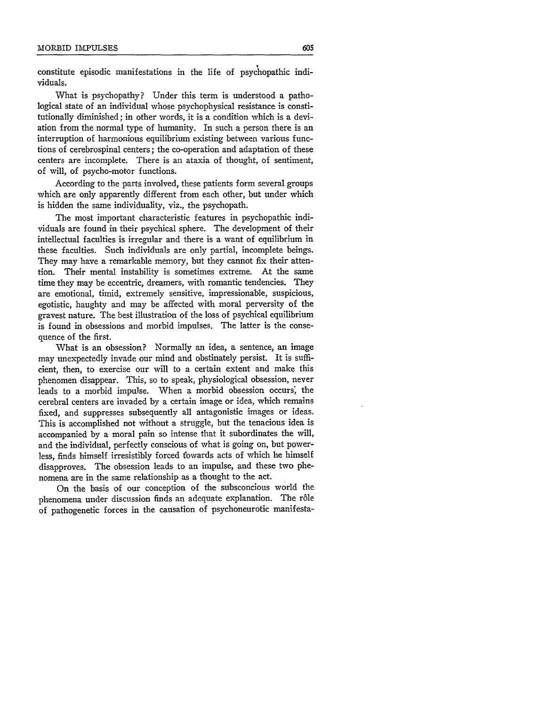constitute episodic manifestations in the life of psychopathic individuals.

What is psychopathy? Under this term is understood a pathological state of an individual whose psychophysical resistance is constitutionally diminished; in other words, it is a condition which is a deviation from the normal type of humanity. In such a person there is an interruption of harmonious equilibrium existing between various functions of cerebrospinal centers; the co-operation and adaptation of these centers are incomplete. There is an ataxia of thought, of sentiment, of will, of psycho-motor functions.

According to the parts involved, these patients form several groups which are only apparently different from each other, but under which is hidden the same individuality, viz., the psychopath.

The most important characteristic features in psychopathic individuals are found in their psychical sphere. The development of their intellectual faculties is irregular and there is a want of equilibrium in these faculties. Such individuals are only partial, incomplete beings. They may have a remarkable memory, but they cannot fix their attention. Their mental instability is sometimes extreme. At the same time they may be eccentric, dreamers, with romantic tendencies. They are emotional, timid, extremely sensitive, impressionable, suspicious, egotistic, haughty and may be affected with moral perversity of the gravest nature. The best illustration of the loss of psychical equilibrium is found in obsessions and morbid impulses. The latter is the consequence of the first.

What is an obsession? Normally an idea, a sentence, an image may unexpectedly invade our mind and obstinately persist. It is sufficient, then, to exercise our will to a certain extent and make this phenomen disappear. This, so to speak, physiological obsession, never leads to a morbid impulse. When a morbid obsession occurs, the cerebral centers are invaded **by** a certain image or idea, which remains fixed, and suppresses subsequently all antagonistic images or ideas. This is accomplished not without a struggle, but the tenacious idea is accompanied **by** a moral pain so intense that it subordinates the will, and the individual, perfectly conscious of what is going on, but powerless, finds himself irresistibly forced towards acts of which he himself disapproves. The obsession leads to an impulse, and these two phenomena are in the same relationship as a thought to the act.

On the basis of our conception of the subsconcious world the phenomena under discussion finds an adequate explanation. The rôle of pathogenetic forces in the causation of psychoneurotic manifesta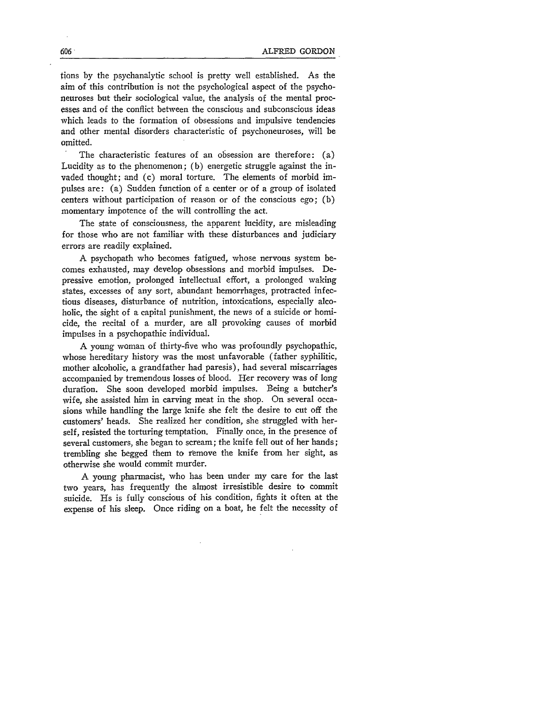ions by the psychanalytic school is pretty well established. As the aim of this contribution is not the psychological aspect of the psychoneuroses but their sociological value, the analysis of the mental processes and of the conflict between the conscious and subconscious ideas which leads to the formation of obsessions and impulsive tendencies and other mental disorders characteristic of psychoneuroses, will be omitted.

The characteristic features of an obsession are therefore: (a) Lucidity as to the phenomenon; (b) energetic struggle against the invaded thought; and (c) moral torture. The elements of morbid impulses are: (a) Sudden function of a center or of a group of isolated centers without participation of reason or of the conscious ego; (b) momentary impotence of the will controlling the act.

The state of consciousness, the apparent lucidity, are misleading for those who are not familiar with these disturbances and judiciary errors are readily explained.

A psychopath who becomes fatigued, whose nervous system becomes exhausted, may develop obsessions and morbid impulses. Depressive emotion, prolonged intellectual effort, a prolonged waking states, excesses of any sort, abundant hemorrhages, protracted infectious diseases, disturbance of nutrition, intoxications, especially alcoholic, the sight of a capital punishment, the news of a suicide or homicide, the recital of a murder, are all provoking causes of morbid impulses in a psychopathic individual.

A young woman of thirty-five who was profoundly psychopathic, whose hereditary history was the most unfavorable (father syphilitic, mother alcoholic, a grandfather had paresis), had several miscarriages accompanied by tremendous losses of blood. Her recovery was of long duration. She soon developed morbid impulses. Being a butcher's wife, she assisted him in carving meat in the shop. On several occasions while handling the large knife she felt the desire to cut off the customers' heads. She realized her condition, she struggled with herself, resisted the torturing temptation. Finally once, in the presence of several customers, she began to scream; the knife fell out of her hands; trembling she begged them to remove the knife from her sight, as otherwise she would commit murder.

A young pharmacist, who has been under my care for the last two years, has frequently the almost irresistible desire to commit suicide. Hs is fully conscious of his condition, fights it often at the expense of his sleep. Once riding on a boat, he felt the necessity of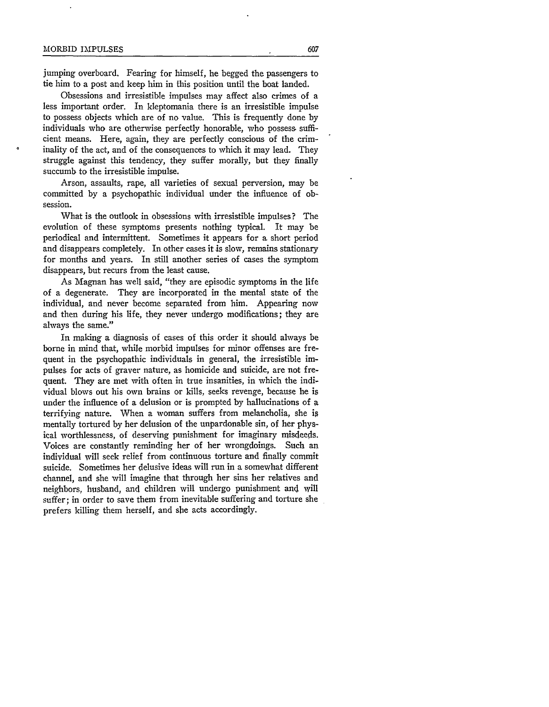jumping overboard. Fearing for himself, he begged the passengers to tie him to a post and keep him in this position until the boat landed.

Obsessions and irresistible impulses may affect also crimes of a less important order. In kleptomania there is an irresistible impulse to possess objects which are of no value. This is frequently done by individuals who are otherwise perfectly honorable, who possess sufficient means. Here, again, they are perfectly conscious of the criminality of the act, and of the consequences to which it may lead. They struggle against this tendency, they suffer morally, but they finally succumb to the irresistible impulse.

Arson, assaults, rape, all varieties of sexual perversion, may be committed **by** a psychopathic individual under the influence of obsession.

What is the outlook in obsessions with irresistible impulses? The evolution of these symptoms presents nothing typical. It may be periodical and intermittent. Sometimes it appears for a short period and disappears completely. In other cases it is slow, remains stationary for months and years. In still another series of cases the symptom disappears, but recurs from the least cause.

As Magnan has well said, "they are episodic symptoms in the life of a degenerate. They are incorporated in the mental state of the individual, and never become separated from him. Appearing now and then during his life, they never undergo modifications; they are always the same."

In making a diagnosis of cases of this order it should always be borne in mind that, while morbid impulses for minor offenses are frequent in the psychopathic individuals in general, the irresistible impulses for acts of graver nature, as homicide and suicide, are not frequent. They are met with often in true insanities, in which the individual blows out his own brains or kills, seeks revenge, because he is under the influence of a delusion or is prompted by hallucinations of a terrifying nature. When a woman suffers from melancholia, she is mentally tortured by her delusion of the unpardonable sin, of her physical worthlessness, of deserving punishment for imaginary misdeeds. Voices are constantly reminding her of her wrongdoings. Such an individual will seek relief from continuous torture and finally commit suicide. Sometimes her delusive ideas will run in a somewhat different channel, and she will imagine that through her sins her relatives and neighbors, husband, and children will undergo punishment and will suffer; in order to save them from inevitable suffering and torture she prefers killing them herself, and she acts accordingly.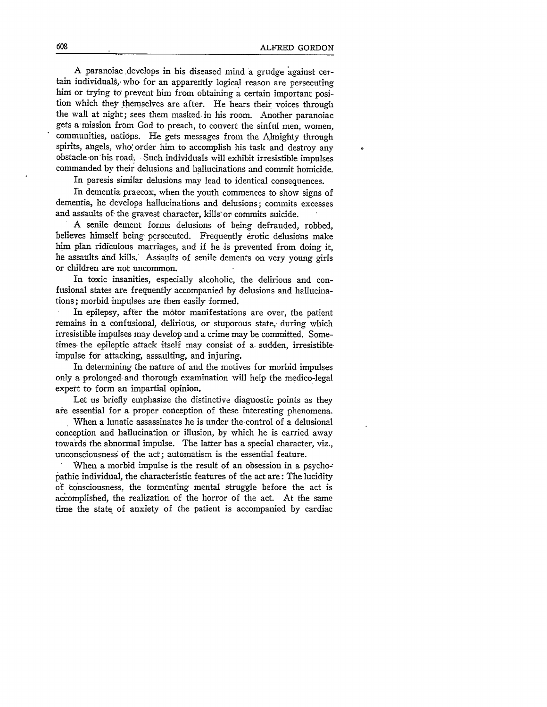A paranoiac develops in his diseased mind a grudge against certain individuals, who for an apparently logical reason are persecuting him or trying to prevent him from obtaining a certain important position which they themselves are after. He hears their voices through the wall at night; sees them masked in his room. Another paranoiac gets a mission from God to preach, to convert the sinful men, women, communities, nations. He gets messages from the Almighty through spirits, angels, who order him to accomplish his task and destroy any obstacle on his road. Such individuals will exhibit irresistible impulses commanded by their delusions and hallucinations and commit homicide.

In paresis similar delusions may lead to identical consequences.

In dementia praecox, when the youth commences to show signs of dementia, he develops hallucinations and delusions; commits excesses and assaults of the gravest character, kills or commits suicide.

A senile dement forms delusions of being defrauded, robbed, believes himself being persecuted. Frequently erotic delusions make him plan ridiculous marriages, and if he is prevented from doing it, he assaults and kills. Assaults of senile dements on very young girls or children are not uncommon.

In toxic insanities, especially alcoholic, the delirious and confusional states are frequently accompanied by delusions and hallucinations; morbid impulses are then easily formed.

In epilepsy, after the motor manifestations are over, the patient remains in a confusional, delirious, or stuporous state, during which irresistible impulses may develop and a crime may be committed. Sometimes the epileptic attack itself may consist of a sudden, irresistible impulse for attacking, assaulting, and injuring.

In determining the nature of and the motives for morbid impulses only a prolonged and thorough examination will help the medico-legal expert to form an impartial opinion.

Let us briefly emphasize the distinctive diagnostic points as they are essential for a proper conception of these interesting phenomena.

When a lunatic assassinates he is under the control of a delusional conception and hallucination or illusion, by which he is carried away towards the abnormal impulse. The latter has a special character, viz., unconsciousness of the act; automatism is the essential feature.

When a morbid impulse is the result of an obsession in a psychopathic individual, the characteristic features of the act are: The lucidity of consciousness, the tormenting mental struggle before the act is accomplished, the realization of the horror of the act. At the same time the state of anxiety of the patient is accompanied by cardiac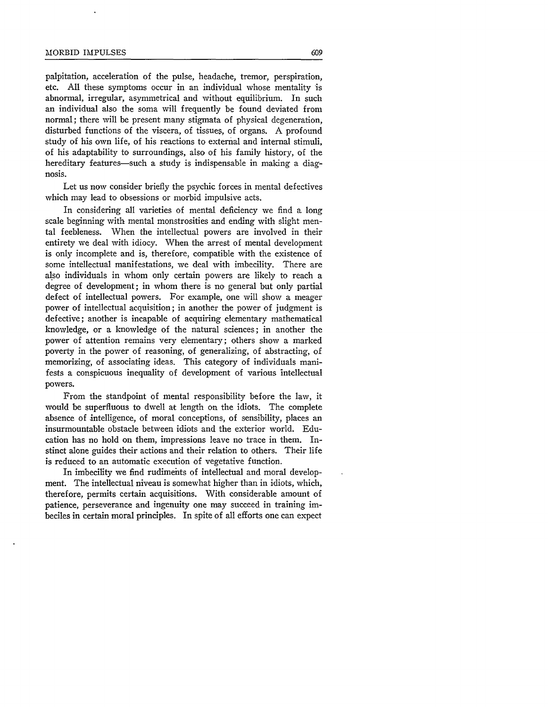palpitation, acceleration of the pulse, headache, tremor, perspiration, etc. All these symptoms occur in an individual whose mentality is abnormal, irregular, asymmetrical and without equilibrium. In such an individual also the soma will frequently be found deviated from normal; there will be present many stigmata of physical degeneration, disturbed functions of the viscera, of tissues, of organs. A profound study of his own life, of his reactions to external and internal stimuli, of his adaptability to surroundings, also of his family history, of the hereditary features-such a study is indispensable in making a diagnosis.

Let us now consider briefly the psychic forces in mental defectives which may lead to obsessions or morbid impulsive acts.

In considering all varieties of mental deficiency we find a long scale beginning with mental monstrosities and ending with slight mental feebleness. When the intellectual powers are involved in their entirety we deal with idiocy. When the arrest of mental development is only incomplete and is, therefore, compatible with the existence of some intellectual manifestations, we deal with imbecility. There are also individuals in whom only certain powers are likely to reach a degree of development; in whom there is no general but only partial defect of intellectual powers. For example, one will show a meager power of intellectual acquisition; in another the power of judgment is defective; another is incapable of acquiring elementary mathematical knowledge, or a knowledge of the natural sciences; in another the power of attention remains very elementary; others show a marked poverty in the power of reasoning, of generalizing, of abstracting, of memorizing, of associating ideas. This category of individuals manifests a conspicuous inequality of development of various intellectual powers.

From the standpoint of mental responsibility before the law, it would be superfluous to dwell at length on the idiots. The complete absence of intelligence, of moral conceptions, of sensibility, places an insurmountable obstacle between idiots and the exterior world. Education has no hold on them, impressions leave no trace in them. Instinct alone guides their actions and their relation to others. Their life is reduced to an automatic execution of vegetative function.

In imbecility we find rudimehts of intellectual and moral development. The intellectual niveau is somewhat higher than in idiots, which, therefore, permits certain acquisitions. With considerable amount of patience, perseverance and ingenuity one may succeed in training imbeciles in certain moral principles. In spite of all efforts one can expect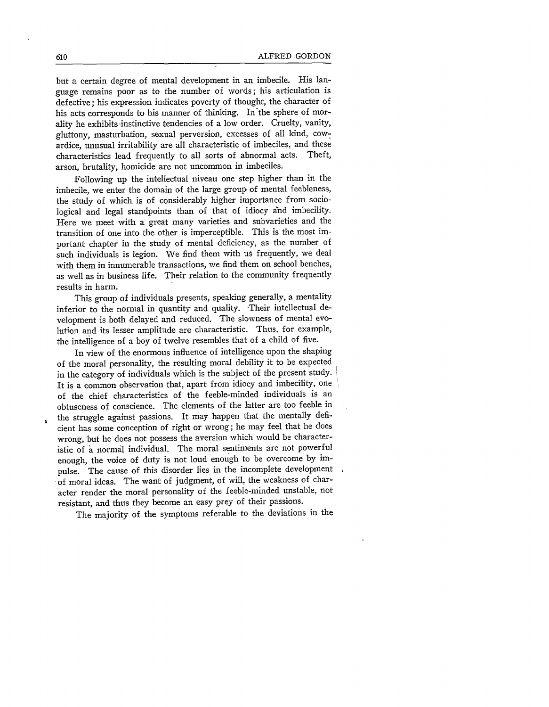but a certain degree of mental development in an imbecile. His language remains poor as to the number of words; his articulation is defective; his expression indicates poverty of thought, the character of his acts corresponds to his manner of thinking. In the sphere of morality he exhibits instinctive tendencies of a low order. Cruelty, vanity, gluttony, masturbation, sexual perversion, excesses of all kind, cowardice, unusual irritability are all characteristic of imbeciles, and these characteristics lead frequently to all sorts of abnormal acts. Theft, arson, brutality, homicide are not uncommon in imbeciles.

Following up the intellectual niveau one step higher than in the imbecile, we enter the domain of the large group of mental feebleness, the study of which is of considerably higher importance from sociological and legal standpoints than of that of idiocy and imbecility. Here we meet with a great many varieties and subvarieties and the transition of one into the other is imperceptible. This is the most important chapter in the study of mental deficiency, as the number of such individuals is legion. We find them with us frequently, we deal with them in innumerable transactions, we find them on school benches, as well as in business life. Their relation to the community frequently results in harm.

This group of individuals presents, speaking generally, a mentality inferior to the normal in quantity and quality. Their intellectual development is both delayed and reduced. The slowness of mental evolution and its lesser amplitude are characteristic. Thus, for example, the intelligence of a boy of twelve resembles that of a child of five.

In view of the enormous influence of intelligence upon the shaping of the moral personality, the resulting moral debility it to be expected in the category of individuals which is the subject of the present study. It is a common observation that, apart from idiocy and imbecility, one of the chief characteristics of the feeble-minded individuals is an obtuseness of conscience. The elements of the latter are too feeble in the struggle against passions. It may happen that the mentally deficient has some conception of right or wrong; he may feel that he does wrong, but he does not possess the aversion which would be characteristic of 'a normal individual. The moral sentiments are not powerful enough, the voice of duty is not loud enough to be overcome by impulse. The cause of this disorder lies in the incomplete development of moral ideas. The want of judgment, of will, the weakness of character render the moral personality of the feeble-minded unstable, not resistant, and thus they become an easy prey of their passions.

The majority of the symptoms referable to the deviations in the

 $\mathbf{a}$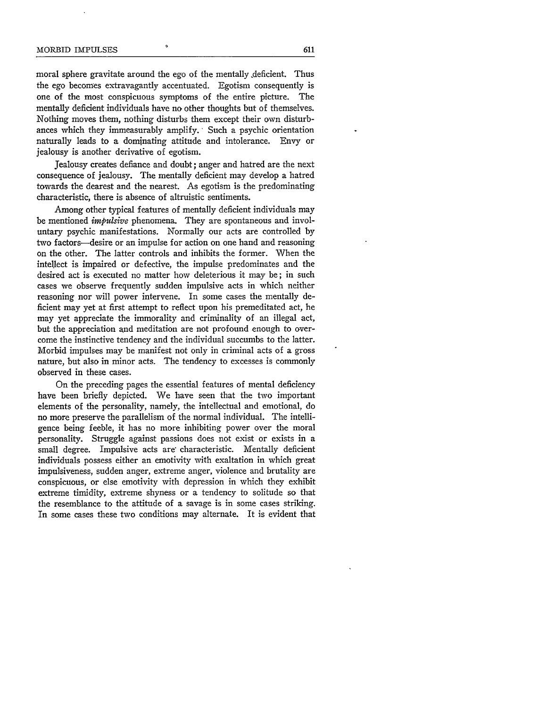moral sphere gravitate around the ego of the mentally deficient. Thus the ego becomes extravagantly accentuated. Egotism consequently is one of the most conspicuous symptoms of the entire picture. The mentally deficient individuals have no other thoughts but of themselves. Nothing moves them, nothing disturbs them except their own disturbances which they immeasurably amplify. Such a psychic orientation naturally leads to a dominating attitude and intolerance. Envy or jealousy is another derivative of egotism.

Jealousy creates defiance and doubt; anger and hatred are the next consequence of jealousy. The mentally deficient may develop a hatred towards the dearest and the nearest. As egotism is the predominating characteristic, there is absence of altruistic sentiments.

Among other typical features of mentally deficient individuals may be mentioned *impulsive* phenomena. They are spontaneous and involuntary psychic manifestations. Normally our acts are controlled **by** two factors-desire or an impulse for action on one hand and reasoning on the other. The latter controls and inhibits the former. When the intellect is impaired or defective, the impulse predominates and the desired act is executed no matter how deleterious it may be; in such cases we observe frequently sudden impulsive acts in which neither reasoning nor will power intervene. In some cases the mentally deficient may yet at first attempt to reflect upon his premeditated act, he may yet appreciate the immorality and criminality of an illegal act, but the appreciation and meditation are not profound enough to overcome the instinctive tendency and the individual succumbs to the latter. Morbid impulses may be manifest not only in criminal acts of a gross nature, but also in minor acts. The tendency to excesses is commonly observed in these cases.

On the preceding pages the essential features of mental deficiency have been briefly depicted. We have seen that the two important elements of the personality, namely, the intellectual and emotional, do no more preserve the parallelism of the normal individual. The intelligence being feeble, it has no more inhibiting power over the moral personality. Struggle against passions does not exist or exists in a small degree. Impulsive acts are" characteristic. Mentally deficient individuals possess either an emotivity with exaltation in which great impulsiveness, sudden anger, extreme anger, violence and brutality are conspicuous, or else emotivity with depression in which they exhibit extreme timidity, extreme shyness or a tendency to solitude so that the resemblance to the attitude of a savage is in some cases striking. In some cases these two conditions may alternate. It is evident that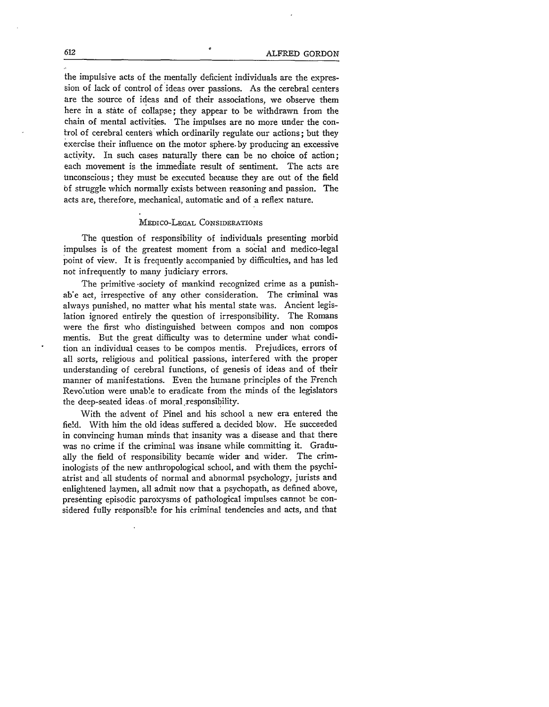the impulsive acts of the mentally deficient individuals are the expression of lack of control of ideas over passions. As the cerebral centers are the source of ideas and of their associations, we observe them here in a state of collapse; they appear to be withdrawn from the chain of mental activities. The impulses are no more under the control of cerebral centers which ordinarily regulate our actions; but they exercise their influence on the motor sphere.by producing an excessive activity. In such cases naturally there can be no choice of action; each movement is the immediate result of sentiment. The acts are unconscious; they must be executed because they are out of the field **of** struggle which normally exists between reasoning and passion. The acts are, therefore, mechanical, automatic and of a reflex nature.

#### MEDICO-LEGAL CONSIDERATIONS

The question of responsibility of individuals presenting morbid impulses is of the greatest moment from a social and medico-legal point of view. It is frequently accompanied by difficulties, and has led not infrequently to many judiciary errors.

The primitive -society of mankind recognized crime as a punishab'e act, irrespective of any other consideration. The criminal was always punished, no matter what his mental state was. Ancient legislation ignored entirely the question of irresponsibility. The Romans were the first who distinguished between compos and non compos mentis. But the great difficulty was to determine under what condition an individual ceases to be compos mentis. Prejudices, errors of all sorts, religious and political passions, interfered with the proper understanding of cerebral functions, of genesis of ideas and of their manner of manifestations. Even the humane principles of the French Revo:ution were unab!e to eradicate from the minds of the legislators the deep-seated ideas of moral responsibility.

With the advent of Pinel and his school a new era entered the field. With him the old ideas suffered a decided blow. He succeeded in convincing human minds that insanity was a disease and that there was no crime if the criminal was insane while committing it. Gradually the field of responsibility became wider and wider. The criminologists of the new anthropological school, and with them the psychiatrist and all students of normal and abnormal psychology, jurists and enlightened laymen, all admit now that a psychopath, as defined above, presenting episodic paroxysms of pathological impulses cannot be considered fully responsible for his criminal tendencies and acts, and that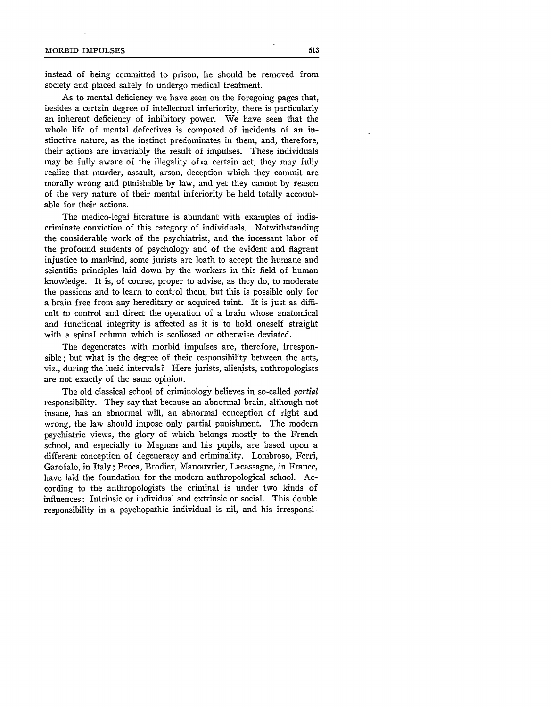instead of being committed to prison, he should be removed from society and placed safely to undergo medical treatment.

As to mental deficiency we have seen on the foregoing pages that, besides a certain degree of intellectual inferiority, there is particularly an inherent deficiency of inhibitory power. We have seen that the whole life of mental defectives is composed of incidents of an instinctive nature, as the instinct predominates in them, and, therefore, their actions are invariably the result of impulses. These individuals may be fully aware of the illegality of a certain act, they may fully realize that murder, assault, arson, deception which they commit are morally wrong and punishable by law, and yet they cannot by reason of the very nature of their mental inferiority be held totally accountable for their actions.

The medico-legal literature is abundant with examples of indiscriminate conviction of this category of individuals. Notwithstanding the considerable work of the psychiatrist, and the incessant labor of the profound students of psychology and of the evident and flagrant injustice to mankind, some jurists are loath to accept the humane and scientific principles laid down by the workers in this field of human knowledge. It is, of course, proper to advise, as they do, to moderate the passions and to learn to control them, but this is possible only for a brain free from any hereditary or acquired taint. It is just as difficult to control and direct the operation of a brain whose anatomical and functional integrity is affected as it is to hold oneself straight with a spinal column which is scoliosed or otherwise deviated.

The degenerates with morbid impulses are, therefore, irresponsible; but what is the degree of their responsibility between the acts, viz., during the lucid intervals? Here jurists, alienists, anthropologists are not exactly of the same opinion.

The old classical school of criminology believes in so-called *partial* responsibility. They say that because an abnormal brain, although not insane, has an abnormal will, an abnormal conception of right and wrong, the law should impose only partial punishment. The modern psychiatric views, the glory of which belongs mostly to the French school, and especially to Magnan and his pupils, are based upon a different conception of degeneracy and criminality. Lombroso, Ferri, Garofalo, in Italy; Broca, Brodier, Manouvrier, Lacassagne, in France, have laid the foundation for the modern anthropological school. According to the anthropologists the criminal is under two kinds of influences: Intrinsic or individual and extrinsic or social. This double responsibility in a psychopathic individual is nil, and his irresponsi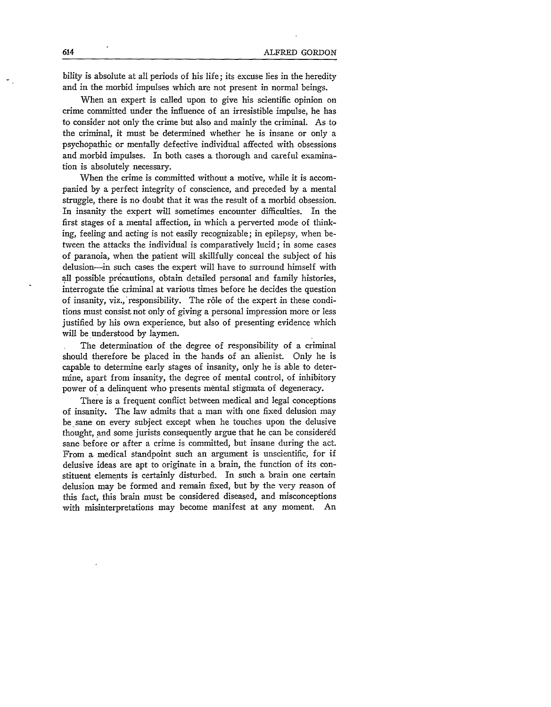bility is absolute at all periods of his life; its excuse lies in the heredity and in the morbid impulses which are not present in normal beings.

When an expert is called upon to give his scientific opinion on crime committed under the influence of an irresistible impulse, he has to consider not only the crime but also and mainly the criminal. As to the criminal, it must be determined whether he is insane or only a psychopathic or mentally defective individual affected with obsessions and morbid impulses. In both cases a thorough and careful examination is absolutely necessary.

When the crime is committed without a motive, while it is accompanied by a perfect integrity of conscience, and preceded by a mental struggle, there is no doubt that it was the result of a morbid obsession. In insanity the expert will sometimes encounter difficulties. In the first stages of a mental affection, in which a perverted mode of thinking, feeling and acting is not easily recognizable; in epilepsy, when between the attacks the individual is comparatively lucid; in some cases of paranoia, when the patient will skillfully conceal the subject of his delusion-in such cases the expert will have to surround himself with all possible precautions, obtain detailed personal and family histories, interrogate the criminal at various times before he decides the question of insanity, viz., responsibility. The rôle of the expert in these conditions must consist not only of giving a personal impression more or less justified by his own experience, but also of presenting evidence which will be understood by laymen.

The determination of the degree of responsibility of a criminal should therefore be placed in the hands of an alienist. Only he is capable to determine early stages of insanity, only he is able to determine, apart from insanity, the degree of mental control, of inhibitory power of a delinquent who presents mental stigmata of degeneracy.

There is a frequent conflict between medical and legal conceptions of insanity. The law admits that a man with one fixed delusion may be sane on every subject except when he touches upon the delusive thought, and some jurists consequently argue that he can be considered sane before or after a crime is committed, but insane during the act. From a medical standpoint such an argument is unscientific, for if delusive ideas are apt to originate in a brain, the function of its constituent elements is certainly disturbed. In such a brain one certain delusion may be formed and remain fixed, but by the very reason of this fact, this brain must be considered diseased, and misconceptions with misinterpretations may become manifest at any moment. An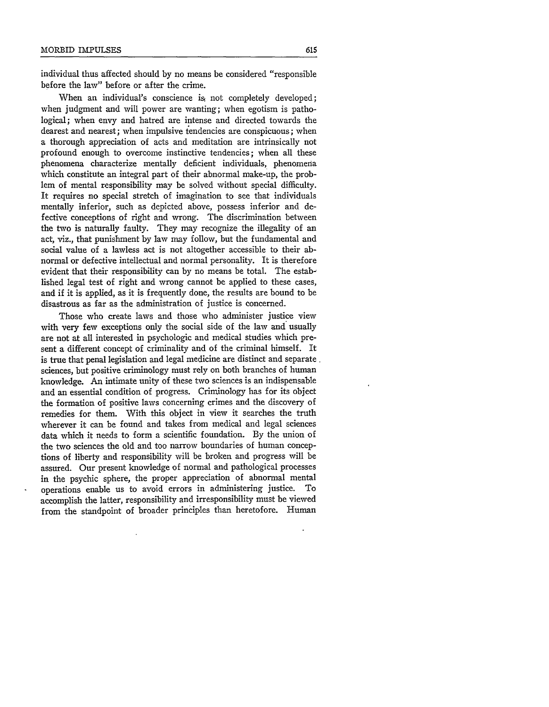individual thus affected should by no means be considered "responsible before the law" before or after the crime.

When an individual's conscience is not completely developed; when judgment and will power are wanting; when egotism is pathological; when envy and hatred are intense and directed towards the dearest and nearest; when impulsive tendencies are conspicuous; when a thorough appreciation of acts and meditation are intrinsically not profound enough to overcome instinctive tendencies; when all these phenomena characterize mentally deficient individuals, phenomena which constitute an integral part of their abnormal make-up, the problem of mental responsibility may be solved without special difficulty. It requires no special stretch of imagination to see that individuals mentally inferior, such as depicted above, possess inferior and defective conceptions of right and wrong. The discrimination between the two is naturally faulty. They may recognize the illegality of an act, viz., that punishment by law may follow, but the fundamental and social value of a lawless act is not altogether accessible to their abnormal or defective intellectual and normal personality. It is therefore evident that their responsibility can by no means be total. The established legal test of right and wrong cannot be applied to these cases, and if it is applied, as it is frequently done, the results are bound to be disastrous as far as the administration of justice is concerned.

Those who create laws and those who administer justice view with very few exceptions only the social side of the law and usually are not at all interested in psychologic and medical studies which present a different concept of criminality and of the criminal himself. It is true that penal legislation and legal medicine are distinct and separate. sciences, but positive criminology must rely on both branches of human knowledge. An intimate unity of these two sciences is an indispensable and an essential condition of progress. Criminology has for its object the formation of positive laws concerning crimes and the discovery of remedies for them. With this object in view it searches the truth wherever it can be found and takes from medical and legal sciences data which it needs to form a scientific foundation. By the union of the two sciences the old and too narrow boundaries of human conceptions of liberty and responsibility will be broken and progress will be assured. Our present knowledge of normal and pathological processes in the psychic sphere, the proper appreciation of abnormal mental operations enable us to avoid errors in administering justice. To accomplish the latter, responsibility and irresponsibility must be viewed from the standpoint of broader principles than heretofore. Human